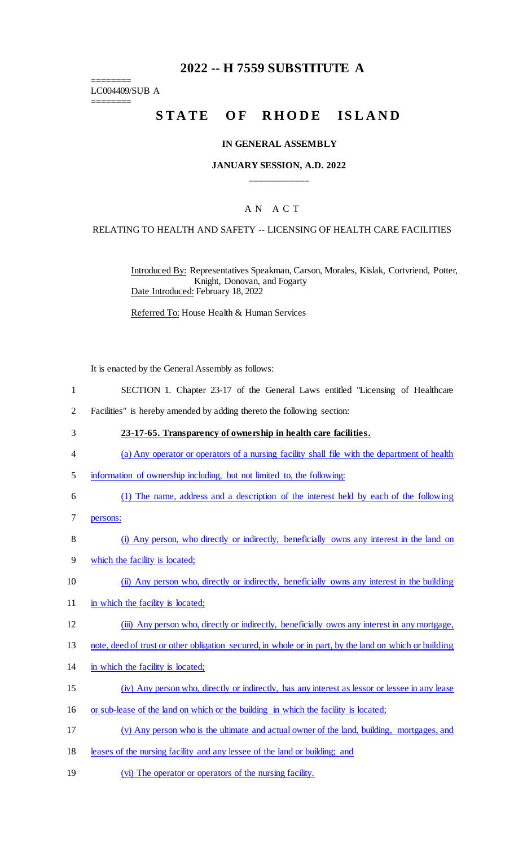## **2022 -- H 7559 SUBSTITUTE A**

======== LC004409/SUB A

========

# STATE OF RHODE ISLAND

#### **IN GENERAL ASSEMBLY**

#### **JANUARY SESSION, A.D. 2022 \_\_\_\_\_\_\_\_\_\_\_\_**

#### A N A C T

#### RELATING TO HEALTH AND SAFETY -- LICENSING OF HEALTH CARE FACILITIES

Introduced By: Representatives Speakman, Carson, Morales, Kislak, Cortvriend, Potter, Knight, Donovan, and Fogarty Date Introduced: February 18, 2022

Referred To: House Health & Human Services

It is enacted by the General Assembly as follows:

- 1 SECTION 1. Chapter 23-17 of the General Laws entitled "Licensing of Healthcare
- 2 Facilities" is hereby amended by adding thereto the following section:
- 3 **23-17-65. Transparency of ownership in health care facilities.**
- 4 (a) Any operator or operators of a nursing facility shall file with the department of health
- 5 information of ownership including, but not limited to, the following:
- 6 (1) The name, address and a description of the interest held by each of the following
- 7 persons:
- 8 (i) Any person, who directly or indirectly, beneficially owns any interest in the land on
- 9 which the facility is located;
- 10 (ii) Any person who, directly or indirectly, beneficially owns any interest in the building
- 11 in which the facility is located;
- 12 (iii) Any person who, directly or indirectly, beneficially owns any interest in any mortgage,
- 13 note, deed of trust or other obligation secured, in whole or in part, by the land on which or building
- 14 in which the facility is located;
- 15 (iv) Any person who, directly or indirectly, has any interest as lessor or lessee in any lease
- 16 or sub-lease of the land on which or the building in which the facility is located;
- 17 (v) Any person who is the ultimate and actual owner of the land, building, mortgages, and
- 18 leases of the nursing facility and any lessee of the land or building; and
- 19 (vi) The operator or operators of the nursing facility.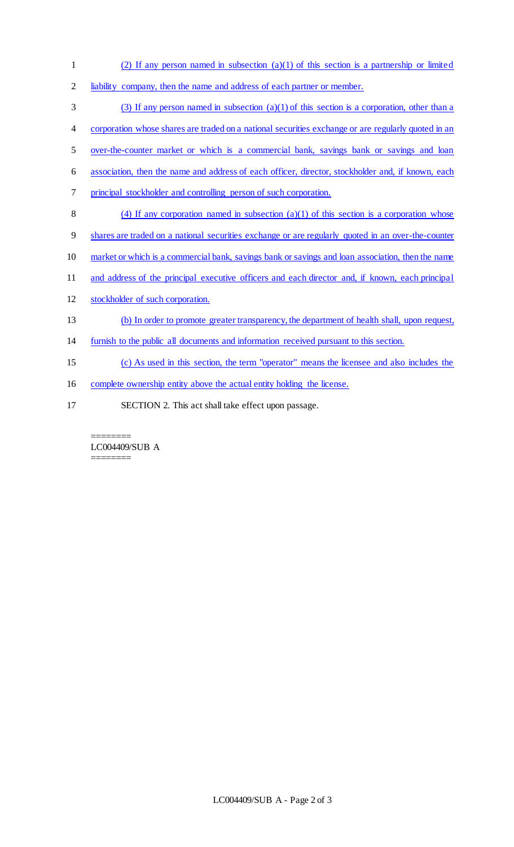- 1 (2) If any person named in subsection (a)(1) of this section is a partnership or limited 2 liability company, then the name and address of each partner or member. 3 (3) If any person named in subsection  $(a)(1)$  of this section is a corporation, other than a 4 corporation whose shares are traded on a national securities exchange or are regularly quoted in an 5 over-the-counter market or which is a commercial bank, savings bank or savings and loan 6 association, then the name and address of each officer, director, stockholder and, if known, each 7 principal stockholder and controlling person of such corporation.
- 8 (4) If any corporation named in subsection  $(a)(1)$  of this section is a corporation whose
- 9 shares are traded on a national securities exchange or are regularly quoted in an over-the-counter
- 10 market or which is a commercial bank, savings bank or savings and loan association, then the name
- 11 and address of the principal executive officers and each director and, if known, each principal
- 12 stockholder of such corporation.
- 13 (b) In order to promote greater transparency, the department of health shall, upon request,
- 14 furnish to the public all documents and information received pursuant to this section.
- 15 (c) As used in this section, the term "operator" means the licensee and also includes the
- 16 complete ownership entity above the actual entity holding the license.
- 17 SECTION 2. This act shall take effect upon passage.

======== LC004409/SUB A ========